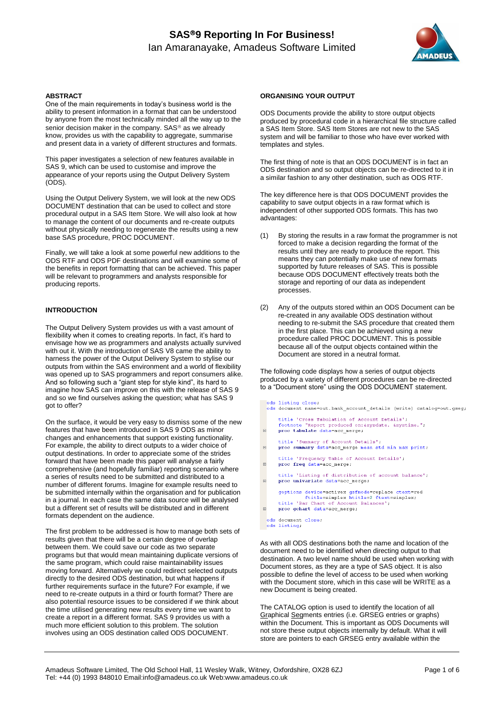# **SAS9 Reporting In For Business!** Ian Amaranayake, Amadeus Software Limited



### **ABSTRACT**

One of the main requirements in today's business world is the ability to present information in a format that can be understood by anyone from the most technically minded all the way up to the senior decision maker in the company. SAS<sup>®</sup> as we already know, provides us with the capability to aggregate, summarise and present data in a variety of different structures and formats.

This paper investigates a selection of new features available in SAS 9, which can be used to customise and improve the appearance of your reports using the Output Delivery System (ODS).

Using the Output Delivery System, we will look at the new ODS DOCUMENT destination that can be used to collect and store procedural output in a SAS Item Store. We will also look at how to manage the content of our documents and re-create outputs without physically needing to regenerate the results using a new base SAS procedure, PROC DOCUMENT.

Finally, we will take a look at some powerful new additions to the ODS RTF and ODS PDF destinations and will examine some of the benefits in report formatting that can be achieved. This paper will be relevant to programmers and analysts responsible for producing reports.

### **INTRODUCTION**

The Output Delivery System provides us with a vast amount of flexibility when it comes to creating reports. In fact, it's hard to envisage how we as programmers and analysts actually survived with out it. With the introduction of SAS V8 came the ability to harness the power of the Output Delivery System to stylise our outputs from within the SAS environment and a world of flexibility was opened up to SAS programmers and report consumers alike. And so following such a "giant step for style kind", its hard to imagine how SAS can improve on this with the release of SAS 9 and so we find ourselves asking the question; what has SAS 9 got to offer?

On the surface, it would be very easy to dismiss some of the new features that have been introduced in SAS 9 ODS as minor changes and enhancements that support existing functionality. For example, the ability to direct outputs to a wider choice of output destinations. In order to appreciate some of the strides forward that have been made this paper will analyse a fairly comprehensive (and hopefully familiar) reporting scenario where a series of results need to be submitted and distributed to a number of different forums. Imagine for example results need to be submitted internally within the organisation and for publication in a journal. In each case the same data source will be analysed but a different set of results will be distributed and in different formats dependent on the audience.

The first problem to be addressed is how to manage both sets of results given that there will be a certain degree of overlap between them. We could save our code as two separate programs but that would mean maintaining duplicate versions of the same program, which could raise maintainability issues moving forward. Alternatively we could redirect selected outputs directly to the desired ODS destination, but what happens if further requirements surface in the future? For example, if we need to re-create outputs in a third or fourth format? There are also potential resource issues to be considered if we think about the time utilised generating new results every time we want to create a report in a different format. SAS 9 provides us with a much more efficient solution to this problem. The solution involves using an ODS destination called ODS DOCUMENT.

### **ORGANISING YOUR OUTPUT**

ODS Documents provide the ability to store output objects produced by procedural code in a hierarchical file structure called a SAS Item Store. SAS Item Stores are not new to the SAS system and will be familiar to those who have ever worked with templates and styles.

The first thing of note is that an ODS DOCUMENT is in fact an ODS destination and so output objects can be re-directed to it in a similar fashion to any other destination, such as ODS RTF.

The key difference here is that ODS DOCUMENT provides the capability to save output objects in a raw format which is independent of other supported ODS formats. This has two advantages:

- (1) By storing the results in a raw format the programmer is not forced to make a decision regarding the format of the results until they are ready to produce the report. This means they can potentially make use of new formats supported by future releases of SAS. This is possible because ODS DOCUMENT effectively treats both the storage and reporting of our data as independent processes.
- (2) Any of the outputs stored within an ODS Document can be re-created in any available ODS destination without needing to re-submit the SAS procedure that created them in the first place. This can be achieved using a new procedure called PROC DOCUMENT. This is possible because all of the output objects contained within the Document are stored in a neutral format.

The following code displays how a series of output objects produced by a variety of different procedures can be re-directed to a "Document store" using the ODS DOCUMENT statement.

- ods listing close: ods document name=out.bank\_account\_details (write) catalog=out.gseg; title 'Cross Tabulation of Account Details';<br>footnote "Report produced on: &sysdate. &systime.";  $\blacksquare$ proc tabulate data=acc merge; title 'Summary of Account Details';  $\mathbf{F}$ proc summary data=acc\_merge mean std min max print; title 'Frequency Table of Account Details';  $\overline{r}$ proc freq data=acc\_merge; title 'Listing of distribution of account balance';  $\overline{r}$  $\mathbf{proc}\$  univariate  $\texttt{data=acc\_merge}$  ; goptions device=activex gsfmode=replace ctext=red<br>fitle=simplex htitle=2 ftext=simplex;<br>title 'Bar Chart of Account Balances';<br>proc gchart data=acc\_merge;
- $\blacksquare$
- ods document close; ods listing:

As with all ODS destinations both the name and location of the document need to be identified when directing output to that destination. A two level name should be used when working with Document stores, as they are a type of SAS object. It is also possible to define the level of access to be used when working with the Document store, which in this case will be WRITE as a new Document is being created.

The CATALOG option is used to identify the location of all Graphical Segments entries (i.e. GRSEG entries or graphs) within the Document. This is important as ODS Documents will not store these output objects internally by default. What it will store are pointers to each GRSEG entry available within the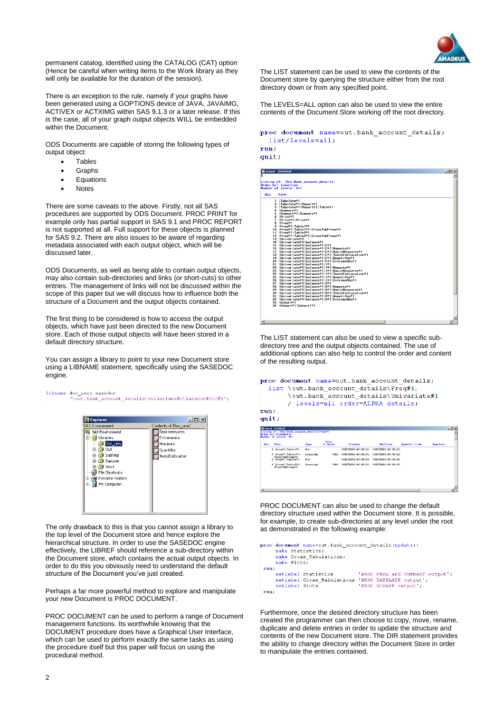

permanent catalog, identified using the CATALOG (CAT) option (Hence be careful when writing items to the Work library as they will only be available for the duration of the session).

There is an exception to the rule, namely if your graphs have been generated using a GOPTIONS device of JAVA, JAVAIMG, ACTIVEX or ACTXIMG within SAS 9.1.3 or a later release. If this is the case, all of your graph output objects WILL be embedded within the Document.

ODS Documents are capable of storing the following types of output object:

- **Tables**
- Graphs
- Equations
- Notes

There are some caveats to the above. Firstly, not all SAS procedures are supported by ODS Document. PROC PRINT for example only has partial support in SAS 9.1 and PROC REPORT is not supported at all. Full support for these objects is planned for SAS 9.2. There are also issues to be aware of regarding metadata associated with each output object, which will be discussed later.

ODS Documents, as well as being able to contain output objects, may also contain sub-directories and links (or short-cuts) to other entries. The management of links will not be discussed within the scope of this paper but we will discuss how to influence both the structure of a Document and the output objects contained.

The first thing to be considered is how to access the output objects, which have just been directed to the new Document store. Each of those output objects will have been stored in a default directory structure.

You can assign a library to point to your new Document store using a LIBNAME statement, specifically using the SASEDOC engine.



The only drawback to this is that you cannot assign a library to the top level of the Document store and hence explore the hierarchical structure. In order to use the SASEDOC engine effectively, the LIBREF should reference a sub-directory within the Document store, which contains the actual output objects. In order to do this you obviously need to understand the default structure of the Document you've just created.

Perhaps a far more powerful method to explore and manipulate your new Document is PROC DOCUMENT.

PROC DOCUMENT can be used to perform a range of Document management functions. Its worthwhile knowing that the DOCUMENT procedure does have a Graphical User Interface, which can be used to perform exactly the same tasks as using the procedure itself but this paper will focus on using the procedural method.

The LIST statement can be used to view the contents of the Document store by querying the structure either from the root directory down or from any specified point.

The LEVELS=ALL option can also be used to view the entire contents of the Document Store working off the root directory.

proc document name=out.bank\_account\_details; list/levels=all;

#### run; quit:

| 断 Outout - (Untitled)                                         | $ \Box$ $\times$ |
|---------------------------------------------------------------|------------------|
|                                                               |                  |
|                                                               |                  |
| Listing of: \Out.Bank account details\<br>Order by: Insertion |                  |
| Number of levels: All                                         |                  |
|                                                               |                  |
| <b>Obs</b><br>Path                                            |                  |
|                                                               |                  |
| 1 \Tabulate#1<br>2 \Tabulate#1\Report#1                       |                  |
| 3 \Tabulate#1\Report#1\Table#1                                |                  |
| 4 \Summarv#1                                                  |                  |
| 5 \Summarv#1\Summarv#1                                        |                  |
| $6$ \Print#1                                                  |                  |
| 7 \Print*1\Print*1                                            |                  |
| 8 \Frea <sup>+1</sup>                                         |                  |
| 9 \Freq#1\Table1*1                                            |                  |
| 10 \Freq#1\Table1*1\CrossTabFreqs#1                           |                  |
| 11 \Freq*1\Table2*1                                           |                  |
| 12 \Freq#1\Table2#1\CrossTabFreqs#1                           |                  |
| 13 \Univariate#1                                              |                  |
| 14 \Univariate#1\balance#1                                    |                  |
| 15 \Univariate#1\balance#1\C#1                                |                  |
| 16 \Univariate#1\balance#1\C#1\Moments#1                      |                  |
| 17 \Univariate#1\balance#1\C#1\BasicMeasures#1                |                  |
| 18 \Univariate#1\balance#1\C#1\TestsForLocation#1             |                  |
| 19 \Univariate#1\balance#1\C#1\Quantiles#1                    |                  |
| 20 \Univariate#1\balance#1\C#1\ExtremeObs#1                   |                  |
| 21 \Univariate#1\balance#1\1#1                                |                  |
| 22 \Univariate#1\balance#1\l#1\Moments#1                      |                  |
| 23 \Univariate#1\balance#1\I#1\BasicMeasures#1                |                  |
| 24 \Univariate#1\balance#1\l#1\TestsForLocation#1             |                  |
| 25 \Univariate#1\balance#1\l#1\Quantiles#1                    |                  |
| 26 \Univariate#1\balance#1\l#1\ExtremeObs#1                   |                  |
| 27 \Univariate#1\balance#1\S#1                                |                  |
| 28 \Univariate#1\balance#1\S#1\Moments#1                      |                  |
| 29 \Univariate#1\balance#1\S#1\BasicMeasures#1                |                  |
| 30 \Univariate#1\balance#1\S#1\TestsForLocation#1             |                  |
| 31 \Univariate#1\balance#1\S#1\Quantiles#1                    |                  |
| 32 \Univariate#1\balance#1\S#1\ExtremeObs#1                   |                  |
| 33 \Gchart#1                                                  |                  |
| 34 \Gchart#1\Gchart1#1                                        |                  |
|                                                               |                  |
|                                                               |                  |
|                                                               |                  |

The LIST statement can also be used to view a specific subdirectory tree and the output objects contained. The use of additional options can also help to control the order and content of the resulting output.

```
proc document name=out.bank_account_details;
 list \out.bank_account_details\Freq#1,
       \out.bank_account_details\Univariate#1
       / levels=all order=ALPHA details;
run:
quit.
```

| <b>Obs</b> | Path                                   | Type     | Size<br>in Bytes | <b>Created</b>     | Mod i fied         | <b>Symbolic Link</b> | Template |
|------------|----------------------------------------|----------|------------------|--------------------|--------------------|----------------------|----------|
|            | 1 \Freq#1\Table1*1                     | Dir      |                  | 140CT2005:07:45:55 | 140CT2005:07:45:55 |                      |          |
|            | 2 \Freq*1\Table1*1\                    | Crosstab | 1206             | 140CT2005:07:45:55 | 140CT2005:07:45:55 |                      |          |
|            | CrossTabFreqs*1<br>3 \Freq#1\Table2*1  | Dir      |                  | 140CT2005:07:45:55 | 140CT2005:07:45:55 |                      |          |
|            | 4 \Freq#1\Table2#1\<br>CrossTabFreqs*1 | Crosstab | 1066             | 140CT2005:07:45:55 | 140CT2005:07:45:55 |                      |          |
|            |                                        |          |                  |                    |                    |                      |          |
|            |                                        |          |                  |                    |                    |                      |          |

PROC DOCUMENT can also be used to change the default directory structure used within the Document store. It is possible, for example, to create sub-directories at any level under the root as demonstrated in the following example:

```
proc document name=out.bank_account_details(update);
    make Statistics;<br>make Statistics;<br>make Cross_Tabulations;<br>make Plots;
run;setlabel Plots
                               'PROC GCHART output';
run:
```
Furthermore, once the desired directory structure has been created the programmer can then choose to copy, move, rename, duplicate and delete entries in order to update the structure and contents of the new Document store. The DIR statement provides the ability to change directory within the Document Store in order to manipulate the entries contained.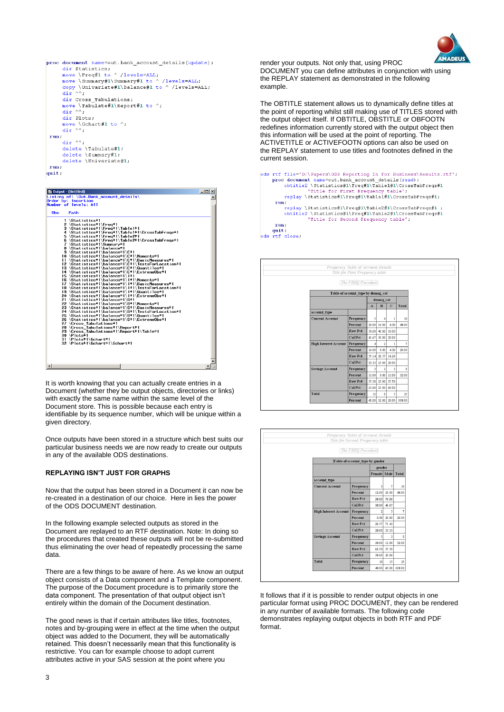

```
proc document name=out.bank account details (update) ;
         document name=out.bank_account_details(updational)<br>dir Statistics;<br>move \Freq#1 to ^ /levels=ALL;<br>move \Summary#1\Summary#1 to ^ /levels=ALL;<br>move \Summary#1\Summary#1 to ^ /levels=ALL;<br>conv \Univariate#1\balance#1 to ^ /l
         copy \Univariate#1\balance#1 to ^ /levels=ALL;<br>dir ^^;
          dir Cross Tabulations;
         move \Tabulate#1\Report#1 to ^;<br>dir ^^;
         dir Plots;
         move \Gchart#1 to ^;<br>dir ^^;
  run;\text{dir} \triangleqdelete \Tabulate#1;<br>delete \Summary#1;
         delete \Univariate#1;
 run;
quit;
```

| li Dutput - (Untitled)                                                                          | $   \approx$ |
|-------------------------------------------------------------------------------------------------|--------------|
| Listing of: $\text{Out.Bank account details}$                                                   |              |
| Order by: Insertion<br>Number of levels: All                                                    |              |
|                                                                                                 |              |
| <b>Obs</b><br>Path                                                                              |              |
| 1 \Statistics#1                                                                                 |              |
| 2 Statistics#1 Freq#1                                                                           |              |
| 3 \Statistics#1\Freq#1\Table1#1                                                                 |              |
| 4 \Statistics#1\Freq#1\Table1#1\CrossTabFreqs#1                                                 |              |
| 5 \Statistics#1\Freq#1\Table2#1                                                                 |              |
| 6 \Statistics#1\Freq#1\Table2#1\CrossTabFreqs#1<br>7 \Statistics#1\Summarv#1                    |              |
| 8 \Statistics#1\balance#1                                                                       |              |
| 9 \Statistics#1\balance#1\C#1                                                                   |              |
| 10 \Statistics#1\balance#1\C#1\Moments#1                                                        |              |
| 11 \Statistics#1\balance#1\C#1\BasicMeasures#1                                                  |              |
| 12 \Statistics#1\balance#1\C#1\TestsForLocation#1<br>13 \Statistics#1\balance#1\C#1\Quantiles#1 |              |
| 14 \Statistics#1\balance#1\C#1\Extreme0bs#1                                                     |              |
| 15 \Statistics#1\balance#1\l*1                                                                  |              |
| 16 \Statistics#1\balance#1\l#1\Moments#1                                                        |              |
| 17 \Statistics#1\balance#1\l*1\BasicMeasures#1                                                  |              |
| 18 \Statistics#1\balance#1\l#1\TestsForLocation#1<br>19 \Statistics#1\balance#1\l*1\Quantiles#1 |              |
| 20 \Statistics#1\balance#1\l#1\ExtremeObs#1                                                     |              |
| 21 \Statistics#1\balance#1\S*1                                                                  |              |
| 22 \Statistics#1\balance#1\S#1\Moments#1                                                        |              |
| 23 \Statistics#1\balance#1\S#1\BasicMeasures#1                                                  |              |
| 24 \Statistics#1\balance#1\S#1\TestsForLocation#1                                               |              |
| 25 \Statistics#1\balance#1\S#1\Quantiles#1<br>26 \Statistics#1\balance#1\S#1\ExtremeObs#1       |              |
| 27 \Cross Tabulations#1                                                                         |              |
| 28 \Cross Tabulations#1\Report#1                                                                |              |
| 29 \Cross Tabulations#1\Report#1\Table#1                                                        |              |
| $30 \text{ Plots}$ <sup>#1</sup>                                                                |              |
| 31 \Plots#1\Gchart#1<br>32 \Plots#1\Gchart#1\Gchart#1                                           |              |
|                                                                                                 |              |
|                                                                                                 |              |
|                                                                                                 |              |
|                                                                                                 |              |
| ⊣                                                                                               |              |

It is worth knowing that you can actually create entries in a Document (whether they be output objects, directories or links) with exactly the same name within the same level of the Document store. This is possible because each entry is identifiable by its sequence number, which will be unique within a given directory.

Once outputs have been stored in a structure which best suits our particular business needs we are now ready to create our outputs in any of the available ODS destinations.

### **REPLAYING ISN'T JUST FOR GRAPHS**

Now that the output has been stored in a Document it can now be re-created in a destination of our choice. Here in lies the power of the ODS DOCUMENT destination.

In the following example selected outputs as stored in the Document are replayed to an RTF destination. Note: In doing so the procedures that created these outputs will not be re-submitted thus eliminating the over head of repeatedly processing the same data.

There are a few things to be aware of here. As we know an output object consists of a Data component and a Template component. The purpose of the Document procedure is to primarily store the data component. The presentation of that output object isn't entirely within the domain of the Document destination.

The good news is that if certain attributes like titles, footnotes, notes and by-grouping were in effect at the time when the output object was added to the Document, they will be automatically retained. This doesn't necessarily mean that this functionality is restrictive. You can for example choose to adopt current attributes active in your SAS session at the point where you

render your outputs. Not only that, using PROC DOCUMENT you can define attributes in conjunction with using the REPLAY statement as demonstrated in the following example.

The OBTITLE statement allows us to dynamically define titles at the point of reporting whilst still making use of TITLES stored with the output object itself. If OBTITLE, OBSTITLE or OBFOOTN redefines information currently stored with the output object then this information will be used at the point of reporting. The ACTIVETITLE or ACTIVEFOOTN options can also be used on the REPLAY statement to use titles and footnotes defined in the current session.

| ods rtf file='D:\Papers\ODS Reporting In For Business\Results.rtf';<br>proc document name=out.bank account details (read); |
|----------------------------------------------------------------------------------------------------------------------------|
| obtitle2 \Statistics#1\Freq#1\Table1#1\CrossTabFreqs#1                                                                     |
| 'Title for First Frequency table';                                                                                         |
| replay \Statistics#1\Freq#1\Table1#1\CrossTabFreqs#1;                                                                      |
| run;                                                                                                                       |
| replay \Statistics#1\Freq#1\Table2#1\CrossTabFreqs#1;<br>obtitle2 \Statistics#1\Freq#1\Table2#1\CrossTabFreqs#1            |
| 'Title for Second Frequency table';                                                                                        |
| run;                                                                                                                       |
| quit;                                                                                                                      |
| ods rtf close.                                                                                                             |



| Frequency Table of Account Details<br>Title for Second Frequency table |                                 |                |       |                    |  |  |  |  |  |  |
|------------------------------------------------------------------------|---------------------------------|----------------|-------|--------------------|--|--|--|--|--|--|
| The FREO Procedure                                                     |                                 |                |       |                    |  |  |  |  |  |  |
|                                                                        | Table of account_type by gender |                |       |                    |  |  |  |  |  |  |
|                                                                        |                                 | gender         |       |                    |  |  |  |  |  |  |
|                                                                        |                                 | Female Male    |       | Total              |  |  |  |  |  |  |
| account type                                                           |                                 |                |       |                    |  |  |  |  |  |  |
| <b>Current Account</b>                                                 | Frequency                       | 3              | 7     | 10                 |  |  |  |  |  |  |
|                                                                        | Percent                         | 12.00          | 28.00 | 40.00              |  |  |  |  |  |  |
|                                                                        | <b>Row Pct</b>                  | 30.00          | 70.00 |                    |  |  |  |  |  |  |
|                                                                        | Col Pct                         | 30.00          | 46.67 |                    |  |  |  |  |  |  |
| High Interest Account   Frequency                                      |                                 | $\overline{a}$ | 5     | $\overline{7}$     |  |  |  |  |  |  |
|                                                                        | Percent                         | 8.00           | 20.00 | 28.00              |  |  |  |  |  |  |
|                                                                        | <b>Row Pct</b>                  | 28.57          | 71.43 |                    |  |  |  |  |  |  |
|                                                                        | Col Pct                         | 20.00          | 33.33 |                    |  |  |  |  |  |  |
| <b>Savings Account</b>                                                 | Frequency                       | 5              | 3     | $\mathbf{\hat{z}}$ |  |  |  |  |  |  |
|                                                                        | Percent                         | 20.00          | 12.00 | 32.00              |  |  |  |  |  |  |
|                                                                        | <b>Row Pct</b>                  | 62.50          | 37.50 |                    |  |  |  |  |  |  |
|                                                                        | Col Pct                         | 50.00          | 20.00 |                    |  |  |  |  |  |  |
| Total                                                                  | Frequency                       | 10             | 15    | 25                 |  |  |  |  |  |  |
|                                                                        | Percent                         | 40.00          | 60.00 | 100.00             |  |  |  |  |  |  |

It follows that if it is possible to render output objects in one particular format using PROC DOCUMENT, they can be rendered in any number of available formats. The following code demonstrates replaying output objects in both RTF and PDF format.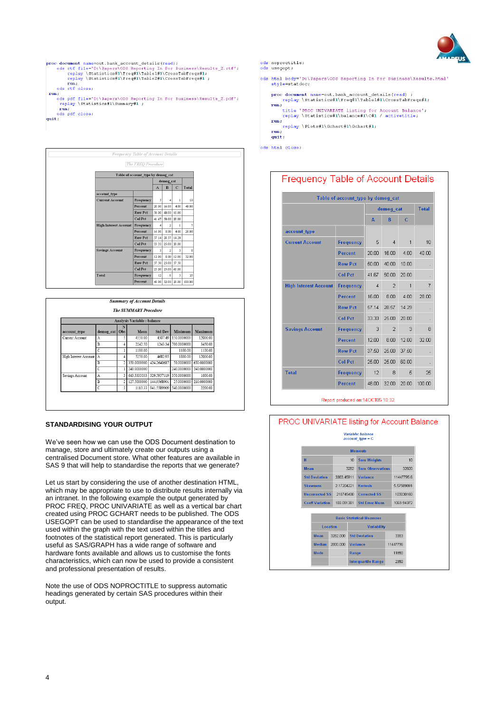

proc document name=out.bank\_account\_details(read);<br>ods rtf file="D:\Papers\ODS Reporting In For Business\Results\_2.rtf';<br>replay \Statistics#1\Preq#1\Table1#1\CrossTabFreq#1;<br>replay \Statistics#1\Preq#1\Table2#1\CrossTabFre  $\begin{minipage}{.4\linewidth} \textbf{rule} \end{minipage} \textbf{else,}$  $run;$ n;<br>ods pdf file='D:\Papers\ODS Reporting In For Business\Results\_2.pdf';<br>replay \Statistics#1\Summary#1 ;<br>run; repray (stat):<br>run;<br>ods pdf close;<br>quit;

Frequency Table of Account Details The FREQ Procedure Table of account\_type by demog\_cat demog\_cat account\_type Frequency **Current Account** Percent  $20.00 \begin{array}{|c|c|c|} \hline 16.00 & 4.00 & 40.00 \end{array}$ Row Pct 50.00 40.00 10.00  $_{\rm Col\, Pet}$  $41.67$  50.00 20.00 High Interest Account Frequency  $\overline{4}$  $\begin{array}{|c|c|c|}\hline \textbf{2} & \textbf{1} \end{array}$ Percent 16.00  $8.00 - 4.00$  $28.00$ Row Pct 57.14 28.57 14.29  $\overline{\text{Col Pot}}$  $33.33 \begin{array}{|c|c|} \hline 25.00 & 20.00 \end{array}$ **Savings Account** Frequency  $\overline{\phantom{a}}$  $\vert$  2  $\overline{\phantom{a}}$  $\lceil 8 \rceil$ Percent 12.00 8.00 12.00 32.00 Row Pet 37.50 25.00 37.50  $Col$  Pct  $25.00$  25.00 60.00  $\boxed{\text{Total}}$ Frequency 12  $8 \quad 5$ 25 Percent 48.00 32.00 20.00 100.00

| <b>The SUMMARY Procedure</b> |           |                |             |                |             |             |  |  |  |
|------------------------------|-----------|----------------|-------------|----------------|-------------|-------------|--|--|--|
| Analysis Variable : balance  |           |                |             |                |             |             |  |  |  |
| account type                 | demog cat | N<br>Obs       | Mean        | <b>Std Dev</b> | Minimum     | Maximum     |  |  |  |
| Current Account              | Α         | 5              | 4550.00     | 4507.49        | 150.0000000 | 12000.00    |  |  |  |
|                              | B         | $\overline{4}$ | 2242.50     | 1243.34        | 700.0000000 | 3450.00     |  |  |  |
|                              | с         |                | 1100.00     |                | 1100.00     | 1100.00     |  |  |  |
| High Interest Account        | А         | $\overline{4}$ | 5250.00     | 4682.95        | 1800 00     | 12000.00    |  |  |  |
|                              | B         | $\overline{2}$ | 350.0000000 | 424.2640687    | 50.0000000  | 650.0000000 |  |  |  |
|                              | C         | 1              | 240.0000000 |                | 240.0000000 | 240.0000000 |  |  |  |
| Savings Account              | A         | 3              | 643.3333333 | 329.5957119    | 350,0000000 | 1000.00     |  |  |  |
|                              | B         | $\mathfrak{D}$ | 127.5000000 | 144.9568901    | 25.0000000  | 230.0000000 |  |  |  |
|                              | C         | 3              | 1113.33     | 941.5589909    | 540.0000000 | 2200.00     |  |  |  |

### **STANDARDISING YOUR OUTPUT**

We've seen how we can use the ODS Document destination to manage, store and ultimately create our outputs using a centralised Document store. What other features are available in SAS 9 that will help to standardise the reports that we generate?

Let us start by considering the use of another destination HTML, which may be appropriate to use to distribute results internally via an intranet. In the following example the output generated by PROC FREQ, PROC UNIVARIATE as well as a vertical bar chart created using PROC GCHART needs to be published. The ODS USEGOPT can be used to standardise the appearance of the text used within the graph with the text used within the titles and footnotes of the statistical report generated. This is particularly useful as SAS/GRAPH has a wide range of software and hardware fonts available and allows us to customise the fonts characteristics, which can now be used to provide a consistent and professional presentation of results.

Note the use of ODS NOPROCTITLE to suppress automatic headings generated by certain SAS procedures within their output.

| ods noproctitle; |
|------------------|
| ods usegopt;     |

ods html body='D:\Papers\ODS Reporting In For Business\Results.html' style=statdoc;

proc document name=out.bank\_account\_details(read) ;<br>replay \Statistics#1\Freq#1\Table1#1\CrossTabFreqs#1;<br>run; ;<br>title 'PROC UNIVARIATE listing for Account Balance';<br>replay \Statistics#1\balance#1\C#1 / activetitle;

 $run;$ 

replay \Plots#1\Gchart#1\Gchart#1; run;

quit;

ods html close;

## **Frequency Table of Account Details**

|                              |                  | demog cat      |                |              | <b>Total</b> |
|------------------------------|------------------|----------------|----------------|--------------|--------------|
|                              |                  | A              | B              | $\mathsf{C}$ |              |
| account type                 |                  |                |                |              |              |
| <b>Current Account</b>       | <b>Frequency</b> | 5              | $\overline{4}$ | $\mathbf{1}$ | 10           |
|                              | <b>Percent</b>   | 20.00          | 16.00          | 4.00         | 40.00        |
|                              | <b>Row Pct</b>   | 50.00          | 40.00          | 10.00        |              |
|                              | <b>Col Pct</b>   | 41.67          | 50.00          | 20.00        |              |
| <b>High Interest Account</b> | <b>Frequency</b> | $\overline{4}$ | $\overline{2}$ | $\mathbf{1}$ | 7            |
|                              | <b>Percent</b>   | 16.00          | 8.00           | 4.00         | 28.00        |
|                              | <b>Row Pct</b>   | 57.14          | 28.57          | 14.29        | i,           |
|                              | <b>Col Pct</b>   | 33.33          | 25.00          | 20.00        | ×.           |
| <b>Savings Account</b>       | <b>Frequency</b> | 3              | $\overline{2}$ | 3            | 8            |
|                              | <b>Percent</b>   | 12.00          | 8.00           | 12.00        | 32.00        |
|                              | <b>Row Pct</b>   | 37.50          | 25.00          | 37.50        |              |
|                              | <b>Col Pct</b>   | 25.00          | 25.00          | 60.00        | ٠            |
| <b>Total</b>                 | <b>Frequency</b> | 12             | 8              | 5            | 25           |
|                              | <b>Percent</b>   | 48.00          | 32.00          | 20.00        | 100.00       |

# PROC UNIVARIATE listing for Account Balance

# Variable: balance<br>account\_type = C

|                        |                       |          |                                                         | <b>Moments</b>             |          |            |  |  |
|------------------------|-----------------------|----------|---------------------------------------------------------|----------------------------|----------|------------|--|--|
| N                      |                       |          | 10                                                      | <b>Sum Weights</b>         |          | 10         |  |  |
| <b>Mean</b>            |                       |          | 3282                                                    | <b>Sum Observations</b>    |          | 32820      |  |  |
|                        | <b>Std Deviation</b>  |          | 3383.45911                                              | <b>Variance</b>            |          | 11447795.6 |  |  |
|                        | <b>Skewness</b>       |          | 2.17204221                                              | <b>Kurtosis</b>            |          | 5.57589891 |  |  |
|                        | <b>Uncorrected SS</b> |          | 210745400                                               | <b>Corrected SS</b>        |          | 103030160  |  |  |
| <b>Coeff Variation</b> |                       |          | 103.091381                                              | <b>Std Error Mean</b>      |          | 1069.94372 |  |  |
| Location               |                       |          | <b>Basic Statistical Measures</b><br><b>Variability</b> |                            |          |            |  |  |
| <b>Mean</b>            |                       | 3282.000 |                                                         | <b>Std Deviation</b>       | 3383     |            |  |  |
| <b>Median</b>          |                       | 2800,000 |                                                         | Variance                   | 11447796 |            |  |  |
| Mode                   |                       |          | Range                                                   |                            | 11850    |            |  |  |
|                        |                       |          |                                                         | <b>Interquartile Range</b> |          | 2350       |  |  |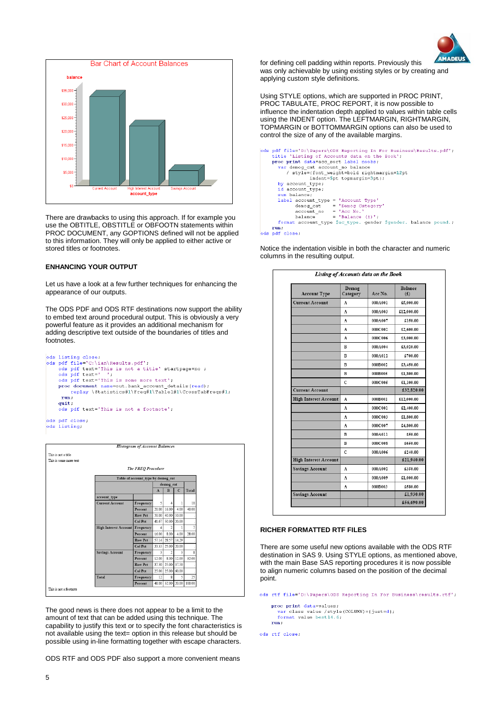



There are drawbacks to using this approach. If for example you use the OBTITLE, OBSTITLE or OBFOOTN statements within PROC DOCUMENT, any GOPTIONS defined will not be applied to this information. They will only be applied to either active or stored titles or footnotes.

### **ENHANCING YOUR OUTPUT**

Let us have a look at a few further techniques for enhancing the appearance of our outputs.

The ODS PDF and ODS RTF destinations now support the ability to embed text around procedural output. This is obviously a very powerful feature as it provides an additional mechanism for adding descriptive text outside of the boundaries of titles and footnotes.







The good news is there does not appear to be a limit to the amount of text that can be added using this technique. The capability to justify this text or to specify the font characteristics is not available using the text= option in this release but should be possible using in-line formatting together with escape characters.

ODS RTF and ODS PDF also support a more convenient means

for defining cell padding within reports. Previously this was only achievable by using existing styles or by creating and applying custom style definitions.

Using STYLE options, which are supported in PROC PRINT, PROC TABULATE, PROC REPORT, it is now possible to influence the indentation depth applied to values within table cells using the INDENT option. The LEFTMARGIN, RIGHTMARGIN, TOPMARGIN or BOTTOMMARGIN options can also be used to control the size of any of the available margins.

| format account type \$ac type. gender \$gender. balance pound.; |
|-----------------------------------------------------------------|
|                                                                 |
|                                                                 |
|                                                                 |

Notice the indentation visible in both the character and numeric columns in the resulting output.

| <b>Account Type</b>          | Demog<br>Category | Acc No. | <b>Balance</b><br>(f(x)) |  |
|------------------------------|-------------------|---------|--------------------------|--|
| <b>Current Account</b>       | A                 | 000A001 | £5,000.00                |  |
|                              | A                 | 000A003 | £12,000.00               |  |
|                              | A                 | 000A007 | £150.00                  |  |
|                              | A                 | 000C002 | £2,600.00                |  |
|                              | A                 | 000C006 | £3,000.00                |  |
|                              | в                 | 000A004 | £3,020.00                |  |
|                              | в                 | 000A012 | £700.00                  |  |
|                              | B                 | 000B002 | £3,450.00                |  |
|                              | B                 | 000B005 | £1,800.00                |  |
|                              | C                 | 000C005 | £1,100.00                |  |
| <b>Current Account</b>       |                   |         | £32,820.00               |  |
| <b>High Interest Account</b> | A                 | 000B001 | £12,000.00               |  |
|                              | A                 | 000C001 | £2,400.00                |  |
|                              | A                 | 000C003 | £1,800.00                |  |
|                              | A                 | 000C007 | £4,800.00                |  |
|                              | B                 | 000A011 | £50.00                   |  |
|                              | в                 | 000C008 | £650.00                  |  |
|                              | c                 | 000A006 | £240.00                  |  |
| <b>High Interest Account</b> |                   |         | £21,940.00               |  |
| <b>Savings Account</b>       | A                 | 000A002 | £350.00                  |  |
|                              | A                 | 000A009 | £1,000.00                |  |
|                              | A                 | 000B003 | £580.00                  |  |
| <b>Savings Account</b>       |                   |         | £1,930.00                |  |
|                              |                   |         | £56,690.00               |  |

#### **RICHER FORMATTED RTF FILES**

There are some useful new options available with the ODS RTF destination in SAS 9. Using STYLE options, as mentioned above, with the main Base SAS reporting procedures it is now possible to align numeric columns based on the position of the decimal point.

ods rtf file='D:\Papers\ODS Reporting In For Business\results.rtf';

proc print data=values; var class value /style (COLUMN) = { just = d };<br>format value best14.6;  $run;$ 

ods rtf close;